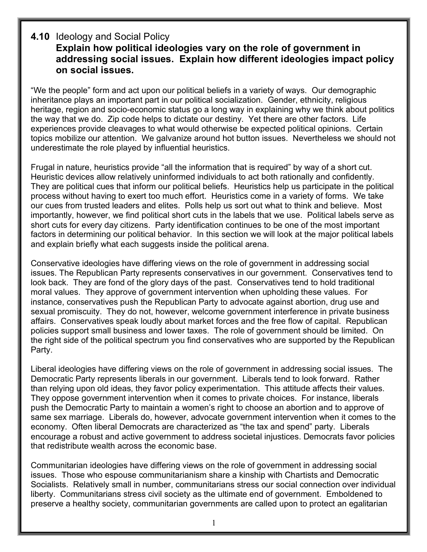## **4.10** Ideology and Social Policy **Explain how political ideologies vary on the role of government in addressing social issues. Explain how different ideologies impact policy on social issues.**

"We the people" form and act upon our political beliefs in a variety of ways. Our demographic inheritance plays an important part in our political socialization. Gender, ethnicity, religious heritage, region and socio-economic status go a long way in explaining why we think about politics the way that we do. Zip code helps to dictate our destiny. Yet there are other factors. Life experiences provide cleavages to what would otherwise be expected political opinions. Certain topics mobilize our attention. We galvanize around hot button issues. Nevertheless we should not underestimate the role played by influential heuristics.

Frugal in nature, heuristics provide "all the information that is required" by way of a short cut. Heuristic devices allow relatively uninformed individuals to act both rationally and confidently. They are political cues that inform our political beliefs. Heuristics help us participate in the political process without having to exert too much effort. Heuristics come in a variety of forms. We take our cues from trusted leaders and elites. Polls help us sort out what to think and believe. Most importantly, however, we find political short cuts in the labels that we use. Political labels serve as short cuts for every day citizens. Party identification continues to be one of the most important factors in determining our political behavior. In this section we will look at the major political labels and explain briefly what each suggests inside the political arena.

Conservative ideologies have differing views on the role of government in addressing social issues. The Republican Party represents conservatives in our government. Conservatives tend to look back. They are fond of the glory days of the past. Conservatives tend to hold traditional moral values. They approve of government intervention when upholding these values. For instance, conservatives push the Republican Party to advocate against abortion, drug use and sexual promiscuity. They do not, however, welcome government interference in private business affairs. Conservatives speak loudly about market forces and the free flow of capital. Republican policies support small business and lower taxes. The role of government should be limited. On the right side of the political spectrum you find conservatives who are supported by the Republican Party.

Liberal ideologies have differing views on the role of government in addressing social issues. The Democratic Party represents liberals in our government. Liberals tend to look forward. Rather than relying upon old ideas, they favor policy experimentation. This attitude affects their values. They oppose government intervention when it comes to private choices. For instance, liberals push the Democratic Party to maintain a women's right to choose an abortion and to approve of same sex marriage. Liberals do, however, advocate government intervention when it comes to the economy. Often liberal Democrats are characterized as "the tax and spend" party. Liberals encourage a robust and active government to address societal injustices. Democrats favor policies that redistribute wealth across the economic base.

Communitarian ideologies have differing views on the role of government in addressing social issues. Those who espouse communitarianism share a kinship with Chartists and Democratic Socialists. Relatively small in number, communitarians stress our social connection over individual liberty. Communitarians stress civil society as the ultimate end of government. Emboldened to preserve a healthy society, communitarian governments are called upon to protect an egalitarian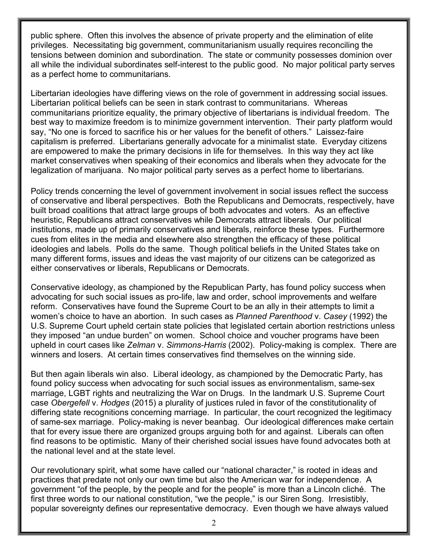public sphere. Often this involves the absence of private property and the elimination of elite privileges. Necessitating big government, communitarianism usually requires reconciling the tensions between dominion and subordination. The state or community possesses dominion over all while the individual subordinates self-interest to the public good. No major political party serves as a perfect home to communitarians.

Libertarian ideologies have differing views on the role of government in addressing social issues. Libertarian political beliefs can be seen in stark contrast to communitarians. Whereas communitarians prioritize equality, the primary objective of libertarians is individual freedom. The best way to maximize freedom is to minimize government intervention. Their party platform would say, "No one is forced to sacrifice his or her values for the benefit of others." Laissez-faire capitalism is preferred. Libertarians generally advocate for a minimalist state. Everyday citizens are empowered to make the primary decisions in life for themselves. In this way they act like market conservatives when speaking of their economics and liberals when they advocate for the legalization of marijuana. No major political party serves as a perfect home to libertarians.

Policy trends concerning the level of government involvement in social issues reflect the success of conservative and liberal perspectives. Both the Republicans and Democrats, respectively, have built broad coalitions that attract large groups of both advocates and voters. As an effective heuristic, Republicans attract conservatives while Democrats attract liberals. Our political institutions, made up of primarily conservatives and liberals, reinforce these types. Furthermore cues from elites in the media and elsewhere also strengthen the efficacy of these political ideologies and labels. Polls do the same. Though political beliefs in the United States take on many different forms, issues and ideas the vast majority of our citizens can be categorized as either conservatives or liberals, Republicans or Democrats.

Conservative ideology, as championed by the Republican Party, has found policy success when advocating for such social issues as pro-life, law and order, school improvements and welfare reform. Conservatives have found the Supreme Court to be an ally in their attempts to limit a women's choice to have an abortion. In such cases as *Planned Parenthood* v. *Casey* (1992) the U.S. Supreme Court upheld certain state policies that legislated certain abortion restrictions unless they imposed "an undue burden" on women. School choice and voucher programs have been upheld in court cases like *Zelman* v. *Simmons-Harris* (2002). Policy-making is complex. There are winners and losers. At certain times conservatives find themselves on the winning side.

But then again liberals win also. Liberal ideology, as championed by the Democratic Party, has found policy success when advocating for such social issues as environmentalism, same-sex marriage, LGBT rights and neutralizing the War on Drugs. In the landmark U.S. Supreme Court case *Obergefell* v. *Hodges* (2015) a plurality of justices ruled in favor of the constitutionality of differing state recognitions concerning marriage. In particular, the court recognized the legitimacy of same-sex marriage. Policy-making is never beanbag. Our ideological differences make certain that for every issue there are organized groups arguing both for and against. Liberals can often find reasons to be optimistic. Many of their cherished social issues have found advocates both at the national level and at the state level.

Our revolutionary spirit, what some have called our "national character," is rooted in ideas and practices that predate not only our own time but also the American war for independence. A government "of the people, by the people and for the people" is more than a Lincoln cliché. The first three words to our national constitution, "we the people," is our Siren Song. Irresistibly, popular sovereignty defines our representative democracy. Even though we have always valued